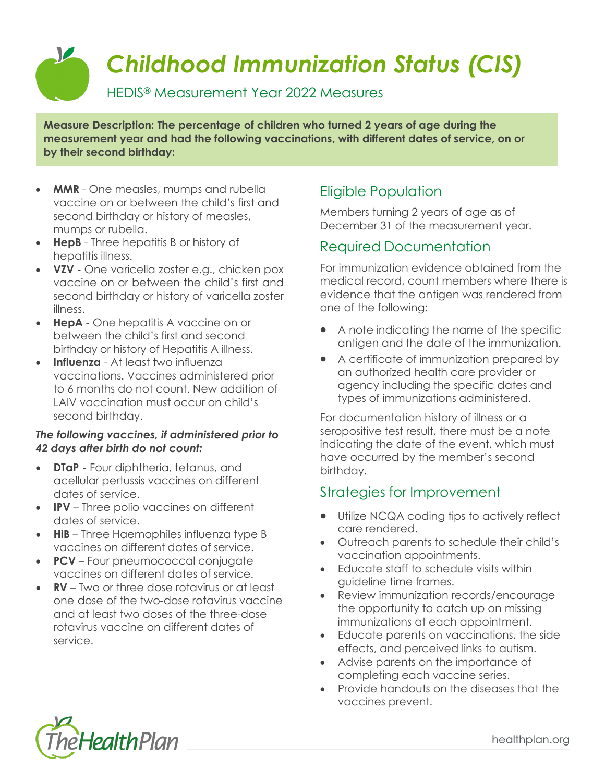*Childhood Immunization Status (CIS)*

HEDIS® Measurement Year 2022 Measures

**Measure Description: The percentage of children who turned 2 years of age during the measurement year and had the following vaccinations, with different dates of service, on or by their second birthday:**

- **MMR**  One measles, mumps and rubella vaccine on or between the child's first and second birthday or history of measles, mumps or rubella.
- **HepB**  Three hepatitis B or history of hepatitis illness.
- **VZV**  One varicella zoster e.g., chicken pox vaccine on or between the child's first and second birthday or history of varicella zoster illness.
- **HepA**  One hepatitis A vaccine on or between the child's first and second birthday or history of Hepatitis A illness.
- **Influenza**  At least two influenza vaccinations. Vaccines administered prior to 6 months do not count. New addition of LAIV vaccination must occur on child's second birthday.

#### *The following vaccines, if administered prior to 42 days after birth do not count:*

- **DTaP -** Four diphtheria, tetanus, and acellular pertussis vaccines on different dates of service.
- **IPV**  Three polio vaccines on different dates of service.
- **HiB** Three Haemophiles influenza type B vaccines on different dates of service.
- **PCV**  Four pneumococcal conjugate vaccines on different dates of service.
- **RV**  Two or three dose rotavirus or at least one dose of the two-dose rotavirus vaccine and at least two doses of the three-dose rotavirus vaccine on different dates of service.

# Eligible Population

Members turning 2 years of age as of December 31 of the measurement year.

#### Required Documentation

For immunization evidence obtained from the medical record, count members where there is evidence that the antigen was rendered from one of the following:

- A note indicating the name of the specific antigen and the date of the immunization.
- A certificate of immunization prepared by an authorized health care provider or agency including the specific dates and types of immunizations administered.

For documentation history of illness or a seropositive test result, there must be a note indicating the date of the event, which must have occurred by the member's second birthday.

#### Strategies for Improvement

- Utilize NCQA coding tips to actively reflect care rendered.
- Outreach parents to schedule their child's vaccination appointments.
- Educate staff to schedule visits within guideline time frames.
- Review immunization records/encourage the opportunity to catch up on missing immunizations at each appointment.
- Educate parents on vaccinations, the side effects, and perceived links to autism.
- Advise parents on the importance of completing each vaccine series.
- Provide handouts on the diseases that the vaccines prevent.